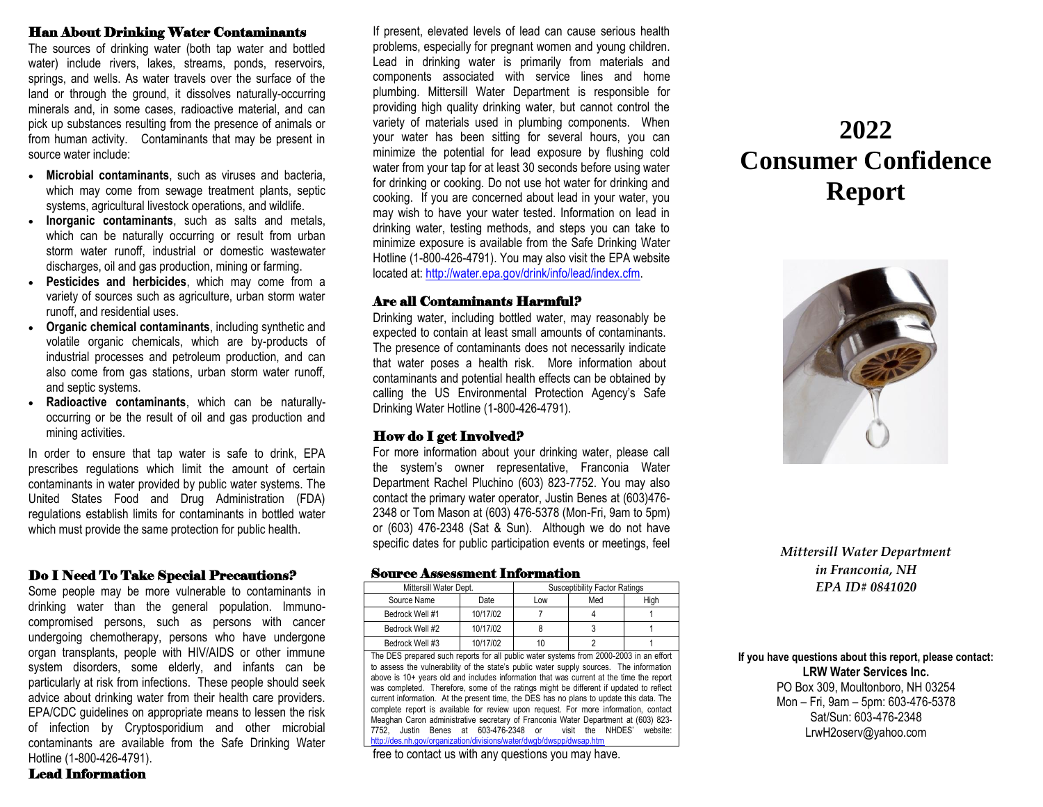### Han About Drinking Water Contaminants

The sources of drinking water (both tap water and bottled water) include rivers, lakes, streams, ponds, reservoirs, springs, and wells. As water travels over the surface of the land or through the ground, it dissolves naturally-occurring minerals and, in some cases, radioactive material, and can pick up substances resulting from the presence of animals or from human activity. Contaminants that may be present in source water include:

- **Microbial contaminants**, such as viruses and bacteria, which may come from sewage treatment plants, septic systems, agricultural livestock operations, and wildlife.
- **Inorganic contaminants**, such as salts and metals, which can be naturally occurring or result from urban storm water runoff, industrial or domestic wastewater discharges, oil and gas production, mining or farming.
- **Pesticides and herbicides**, which may come from a variety of sources such as agriculture, urban storm water runoff, and residential uses.
- **Organic chemical contaminants**, including synthetic and volatile organic chemicals, which are by-products of industrial processes and petroleum production, and can also come from gas stations, urban storm water runoff, and septic systems.
- **Radioactive contaminants**, which can be naturallyoccurring or be the result of oil and gas production and mining activities.

In order to ensure that tap water is safe to drink, EPA prescribes regulations which limit the amount of certain contaminants in water provided by public water systems. The United States Food and Drug Administration (FDA) regulations establish limits for contaminants in bottled water which must provide the same protection for public health.

# Do I Need To Take Special Precautions?

Some people may be more vulnerable to contaminants in drinking water than the general population. Immunocompromised persons, such as persons with cancer undergoing chemotherapy, persons who have undergone organ transplants, people with HIV/AIDS or other immune system disorders, some elderly, and infants can be particularly at risk from infections. These people should seek advice about drinking water from their health care providers. EPA/CDC guidelines on appropriate means to lessen the risk of infection by Cryptosporidium and other microbial contaminants are available from the Safe Drinking Water Hotline (1-800-426-4791).

If present, elevated levels of lead can cause serious health problems, especially for pregnant women and young children. Lead in drinking water is primarily from materials and components associated with service lines and home plumbing. Mittersill Water Department is responsible for providing high quality drinking water, but cannot control the variety of materials used in plumbing components. When your water has been sitting for several hours, you can minimize the potential for lead exposure by flushing cold water from your tap for at least 30 seconds before using water for drinking or cooking. Do not use hot water for drinking and cooking. If you are concerned about lead in your water, you may wish to have your water tested. Information on lead in drinking water, testing methods, and steps you can take to minimize exposure is available from the Safe Drinking Water Hotline (1-800-426-4791). You may also visit the EPA website located at: [http://water.epa.gov/drink/info/lead/index.cfm.](http://water.epa.gov/drink/info/lead/index.cfm)

### Are all Contaminants Harmful?

Drinking water, including bottled water, may reasonably be expected to contain at least small amounts of contaminants. The presence of contaminants does not necessarily indicate that water poses a health risk. More information about contaminants and potential health effects can be obtained by calling the US Environmental Protection Agency's Safe Drinking Water Hotline (1-800-426-4791).

### How do I get Involved?

For more information about your drinking water, please call the system's owner representative, Franconia Water Department Rachel Pluchino (603) 823-7752. You may also contact the primary water operator, Justin Benes at (603)476- 2348 or Tom Mason at (603) 476-5378 (Mon-Fri, 9am to 5pm) or (603) 476-2348 (Sat & Sun). Although we do not have specific dates for public participation events or meetings, feel

#### Source Assessment Information

| Mittersill Water Dept. |          |     | Susceptibility Factor Ratings |      |
|------------------------|----------|-----|-------------------------------|------|
| Source Name            | Date     | Low | Med                           | High |
| Bedrock Well #1        | 10/17/02 |     |                               |      |
| Bedrock Well #2        | 10/17/02 |     |                               |      |
| Bedrock Well #3        | 10/17/02 | 10  |                               |      |

The DES prepared such reports for all public water systems from 2000-2003 in an effort to assess the vulnerability of the state's public water supply sources. The information above is 10+ years old and includes information that was current at the time the report was completed. Therefore, some of the ratings might be different if updated to reflect current information. At the present time, the DES has no plans to update this data. The complete report is available for review upon request. For more information, contact Meaghan Caron administrative secretary of Franconia Water Department at (603) 823- 7752, Justin Benes at 603-476-2348 or visit the NHDES' website: <http://des.nh.gov/organization/divisions/water/dwgb/dwspp/dwsap.htm>

free to contact us with any questions you may have.

# **2022 Consumer Confidence Report**



*Mittersill Water Department in Franconia, NH EPA ID# 0841020*

**If you have questions about this report, please contact: LRW Water Services Inc.** PO Box 309, Moultonboro, NH 03254 Mon – Fri, 9am – 5pm: 603-476-5378 Sat/Sun: 603-476-2348

LrwH2oserv@yahoo.com

Lead Information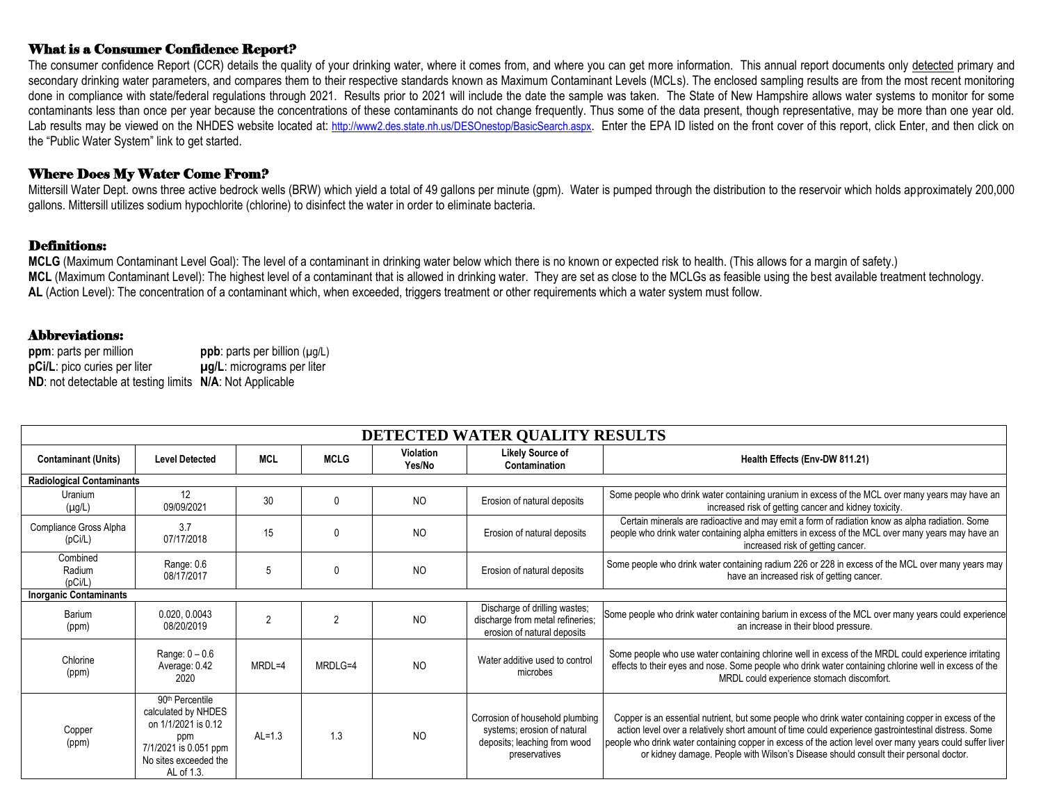# What is a Consumer Confidence Report?

The consumer confidence Report (CCR) details the quality of your drinking water, where it comes from, and where you can get more information. This annual report documents only detected primary and secondary drinking water parameters, and compares them to their respective standards known as Maximum Contaminant Levels (MCLs). The enclosed sampling results are from the most recent monitoring done in compliance with state/federal regulations through 2021. Results prior to 2021 will include the date the sample was taken. The State of New Hampshire allows water systems to monitor for some contaminants less than once per year because the concentrations of these contaminants do not change frequently. Thus some of the data present, though representative, may be more than one year old. Lab results may be viewed on the NHDES website located at: <http://www2.des.state.nh.us/DESOnestop/BasicSearch.aspx>. Enter the EPA ID listed on the front cover of this report, click Enter, and then click on the "Public Water System" link to get started.

### Where Does My Water Come From?

Mittersill Water Dept. owns three active bedrock wells (BRW) which yield a total of 49 gallons per minute (gpm). Water is pumped through the distribution to the reservoir which holds approximately 200,000 gallons. Mittersill utilizes sodium hypochlorite (chlorine) to disinfect the water in order to eliminate bacteria.

### Definitions:

**MCLG** (Maximum Contaminant Level Goal): The level of a contaminant in drinking water below which there is no known or expected risk to health. (This allows for a margin of safety.) **MCL** (Maximum Contaminant Level): The highest level of a contaminant that is allowed in drinking water. They are set as close to the MCLGs as feasible using the best available treatment technology. **AL** (Action Level): The concentration of a contaminant which, when exceeded, triggers treatment or other requirements which a water system must follow.

## Abbreviations:

| ppm: parts per million                                   | <b>ppb</b> : parts per billion $(\mu g/L)$ |
|----------------------------------------------------------|--------------------------------------------|
| pCi/L: pico curies per liter                             | $\mu$ g/L: micrograms per liter            |
| ND: not detectable at testing limits N/A: Not Applicable |                                            |

| DETECTED WATER QUALITY RESULTS    |                                                                                                                                                  |                |              |                     |                                                                                                                 |                                                                                                                                                                                                                                                                                                                                                                                                                  |  |
|-----------------------------------|--------------------------------------------------------------------------------------------------------------------------------------------------|----------------|--------------|---------------------|-----------------------------------------------------------------------------------------------------------------|------------------------------------------------------------------------------------------------------------------------------------------------------------------------------------------------------------------------------------------------------------------------------------------------------------------------------------------------------------------------------------------------------------------|--|
| <b>Contaminant (Units)</b>        | <b>Level Detected</b>                                                                                                                            | <b>MCL</b>     | <b>MCLG</b>  | Violation<br>Yes/No | <b>Likely Source of</b><br>Contamination                                                                        | Health Effects (Env-DW 811.21)                                                                                                                                                                                                                                                                                                                                                                                   |  |
| <b>Radiological Contaminants</b>  |                                                                                                                                                  |                |              |                     |                                                                                                                 |                                                                                                                                                                                                                                                                                                                                                                                                                  |  |
| Uranium<br>$(\mu g/L)$            | 12<br>09/09/2021                                                                                                                                 | 30             |              | <b>NO</b>           | Erosion of natural deposits                                                                                     | Some people who drink water containing uranium in excess of the MCL over many years may have an<br>increased risk of getting cancer and kidney toxicity.                                                                                                                                                                                                                                                         |  |
| Compliance Gross Alpha<br>(pCi/L) | 3.7<br>07/17/2018                                                                                                                                | 15             | U            | NO.                 | Erosion of natural deposits                                                                                     | Certain minerals are radioactive and may emit a form of radiation know as alpha radiation. Some<br>people who drink water containing alpha emitters in excess of the MCL over many years may have an<br>increased risk of getting cancer.                                                                                                                                                                        |  |
| Combined<br>Radium<br>(pCi/L)     | Range: 0.6<br>08/17/2017                                                                                                                         | 5              |              | N <sub>O</sub>      | Erosion of natural deposits                                                                                     | Some people who drink water containing radium 226 or 228 in excess of the MCL over many years may<br>have an increased risk of getting cancer.                                                                                                                                                                                                                                                                   |  |
| <b>Inorganic Contaminants</b>     |                                                                                                                                                  |                |              |                     |                                                                                                                 |                                                                                                                                                                                                                                                                                                                                                                                                                  |  |
| Barium<br>(ppm)                   | 0.020, 0.0043<br>08/20/2019                                                                                                                      | $\mathfrak{p}$ |              | <b>NO</b>           | Discharge of drilling wastes;<br>discharge from metal refineries;<br>erosion of natural deposits                | Some people who drink water containing barium in excess of the MCL over many years could experience<br>an increase in their blood pressure.                                                                                                                                                                                                                                                                      |  |
| Chlorine<br>(ppm)                 | Range: $0 - 0.6$<br>Average: 0.42<br>2020                                                                                                        | MRDL=4         | $MRDI$ $G=4$ | NO.                 | Water additive used to control<br>microbes                                                                      | Some people who use water containing chlorine well in excess of the MRDL could experience irritating<br>effects to their eyes and nose. Some people who drink water containing chlorine well in excess of the<br>MRDL could experience stomach discomfort.                                                                                                                                                       |  |
| Copper<br>(ppm)                   | 90 <sup>th</sup> Percentile<br>calculated by NHDES<br>on 1/1/2021 is 0.12<br>ppm<br>7/1/2021 is 0.051 ppm<br>No sites exceeded the<br>AL of 1.3. | $AL=1.3$       | 1.3          | N <sub>O</sub>      | Corrosion of household plumbing<br>systems; erosion of natural<br>deposits; leaching from wood<br>preservatives | Copper is an essential nutrient, but some people who drink water containing copper in excess of the<br>action level over a relatively short amount of time could experience gastrointestinal distress. Some<br>people who drink water containing copper in excess of the action level over many years could suffer liver<br>or kidney damage. People with Wilson's Disease should consult their personal doctor. |  |